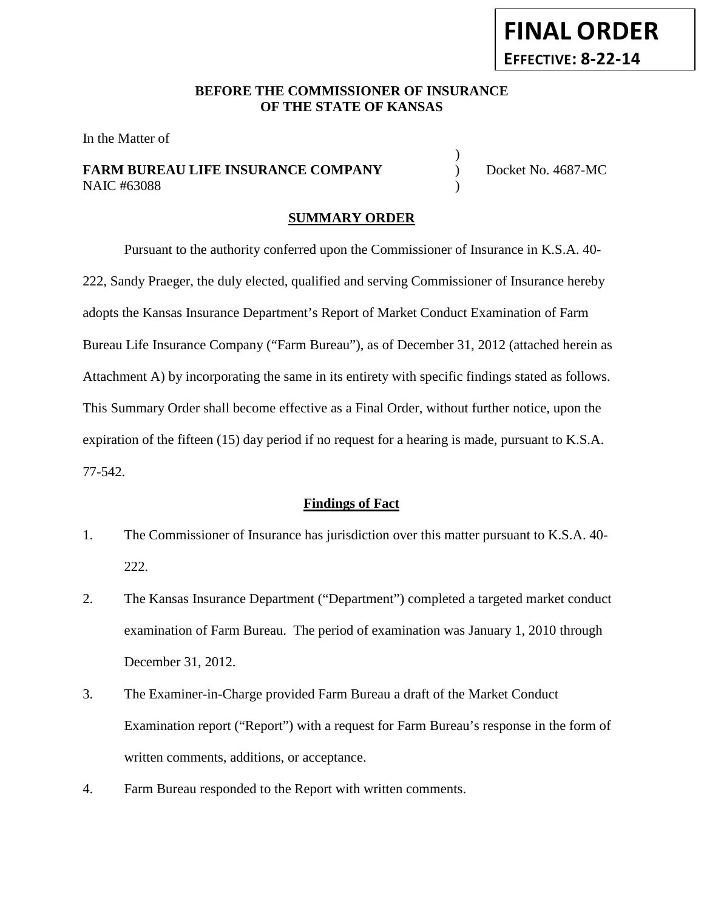#### **BEFORE THE COMMISSIONER OF INSURANCE OF THE STATE OF KANSAS**

In the Matter of

## **FARM BUREAU LIFE INSURANCE COMPANY** Docket No. 4687-MC NAIC #63088 )

)

#### **SUMMARY ORDER**

Pursuant to the authority conferred upon the Commissioner of Insurance in K.S.A. 40- 222, Sandy Praeger, the duly elected, qualified and serving Commissioner of Insurance hereby adopts the Kansas Insurance Department's Report of Market Conduct Examination of Farm Bureau Life Insurance Company ("Farm Bureau"), as of December 31, 2012 (attached herein as Attachment A) by incorporating the same in its entirety with specific findings stated as follows. This Summary Order shall become effective as a Final Order, without further notice, upon the expiration of the fifteen (15) day period if no request for a hearing is made, pursuant to K.S.A. 77-542.

#### **Findings of Fact**

- 1. The Commissioner of Insurance has jurisdiction over this matter pursuant to K.S.A. 40- 222.
- 2. The Kansas Insurance Department ("Department") completed a targeted market conduct examination of Farm Bureau. The period of examination was January 1, 2010 through December 31, 2012.
- 3. The Examiner-in-Charge provided Farm Bureau a draft of the Market Conduct Examination report ("Report") with a request for Farm Bureau's response in the form of written comments, additions, or acceptance.
- 4. Farm Bureau responded to the Report with written comments.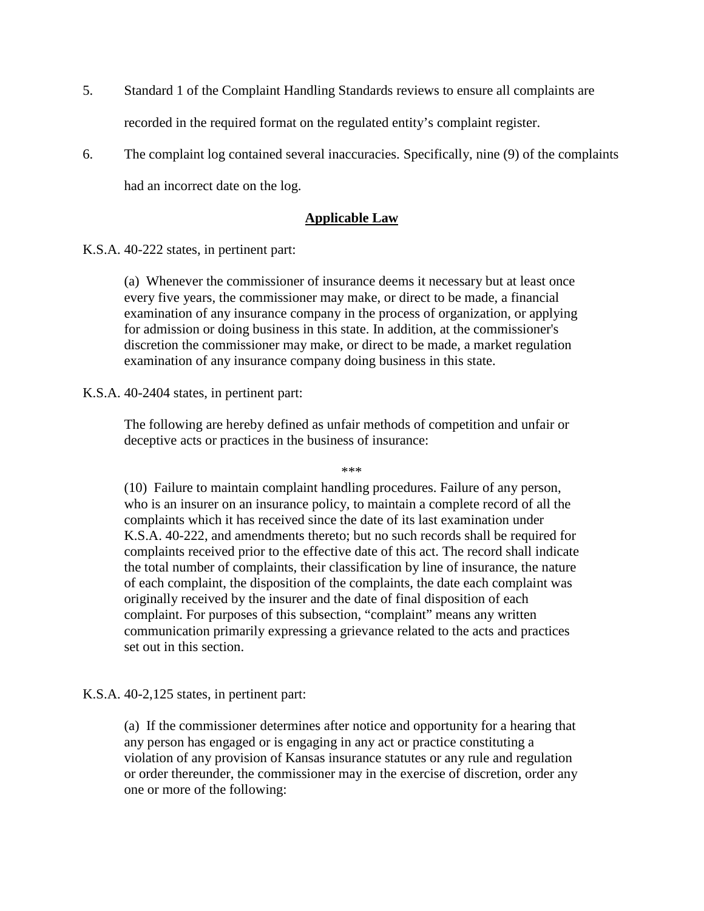- 5. Standard 1 of the Complaint Handling Standards reviews to ensure all complaints are recorded in the required format on the regulated entity's complaint register.
- 6. The complaint log contained several inaccuracies. Specifically, nine (9) of the complaints had an incorrect date on the log.

# **Applicable Law**

K.S.A. 40-222 states, in pertinent part:

(a) Whenever the commissioner of insurance deems it necessary but at least once every five years, the commissioner may make, or direct to be made, a financial examination of any insurance company in the process of organization, or applying for admission or doing business in this state. In addition, at the commissioner's discretion the commissioner may make, or direct to be made, a market regulation examination of any insurance company doing business in this state.

### K.S.A. 40-2404 states, in pertinent part:

The following are hereby defined as unfair methods of competition and unfair or deceptive acts or practices in the business of insurance:

\*\*\*

(10) Failure to maintain complaint handling procedures. Failure of any person, who is an insurer on an insurance policy, to maintain a complete record of all the complaints which it has received since the date of its last examination under K.S.A. 40-222, and amendments thereto; but no such records shall be required for complaints received prior to the effective date of this act. The record shall indicate the total number of complaints, their classification by line of insurance, the nature of each complaint, the disposition of the complaints, the date each complaint was originally received by the insurer and the date of final disposition of each complaint. For purposes of this subsection, "complaint" means any written communication primarily expressing a grievance related to the acts and practices set out in this section.

K.S.A. 40-2,125 states, in pertinent part:

(a) If the commissioner determines after notice and opportunity for a hearing that any person has engaged or is engaging in any act or practice constituting a violation of any provision of Kansas insurance statutes or any rule and regulation or order thereunder, the commissioner may in the exercise of discretion, order any one or more of the following: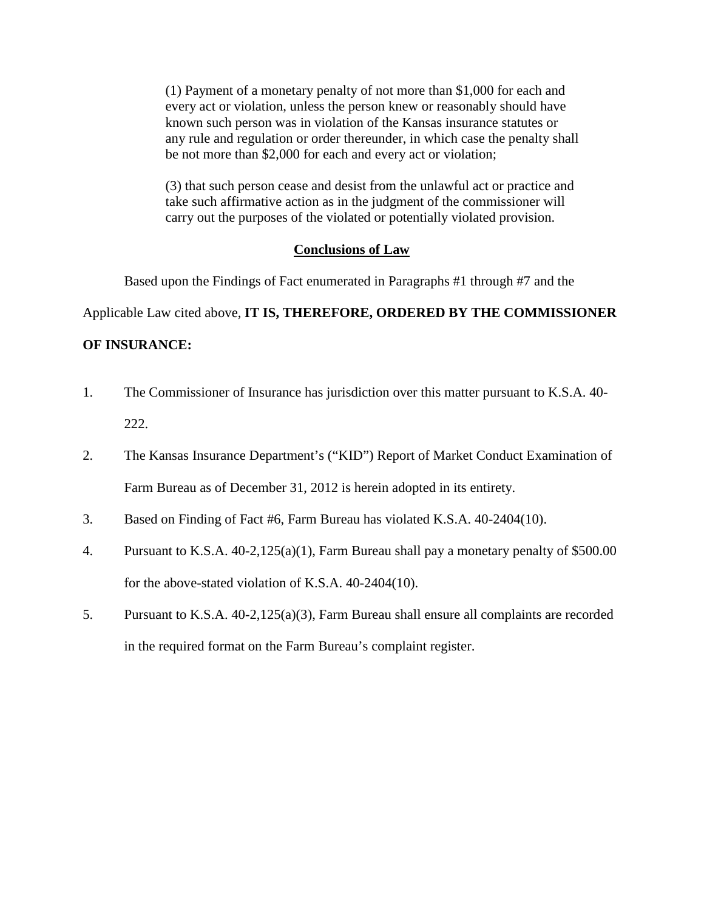(1) Payment of a monetary penalty of not more than \$1,000 for each and every act or violation, unless the person knew or reasonably should have known such person was in violation of the Kansas insurance statutes or any rule and regulation or order thereunder, in which case the penalty shall be not more than \$2,000 for each and every act or violation;

(3) that such person cease and desist from the unlawful act or practice and take such affirmative action as in the judgment of the commissioner will carry out the purposes of the violated or potentially violated provision.

#### **Conclusions of Law**

Based upon the Findings of Fact enumerated in Paragraphs #1 through #7 and the

Applicable Law cited above, **IT IS, THEREFORE, ORDERED BY THE COMMISSIONER** 

### **OF INSURANCE:**

- 1. The Commissioner of Insurance has jurisdiction over this matter pursuant to K.S.A. 40- 222.
- 2. The Kansas Insurance Department's ("KID") Report of Market Conduct Examination of Farm Bureau as of December 31, 2012 is herein adopted in its entirety.
- 3. Based on Finding of Fact #6, Farm Bureau has violated K.S.A. 40-2404(10).
- 4. Pursuant to K.S.A. 40-2,125(a)(1), Farm Bureau shall pay a monetary penalty of \$500.00 for the above-stated violation of K.S.A. 40-2404(10).
- 5. Pursuant to K.S.A. 40-2,125(a)(3), Farm Bureau shall ensure all complaints are recorded in the required format on the Farm Bureau's complaint register.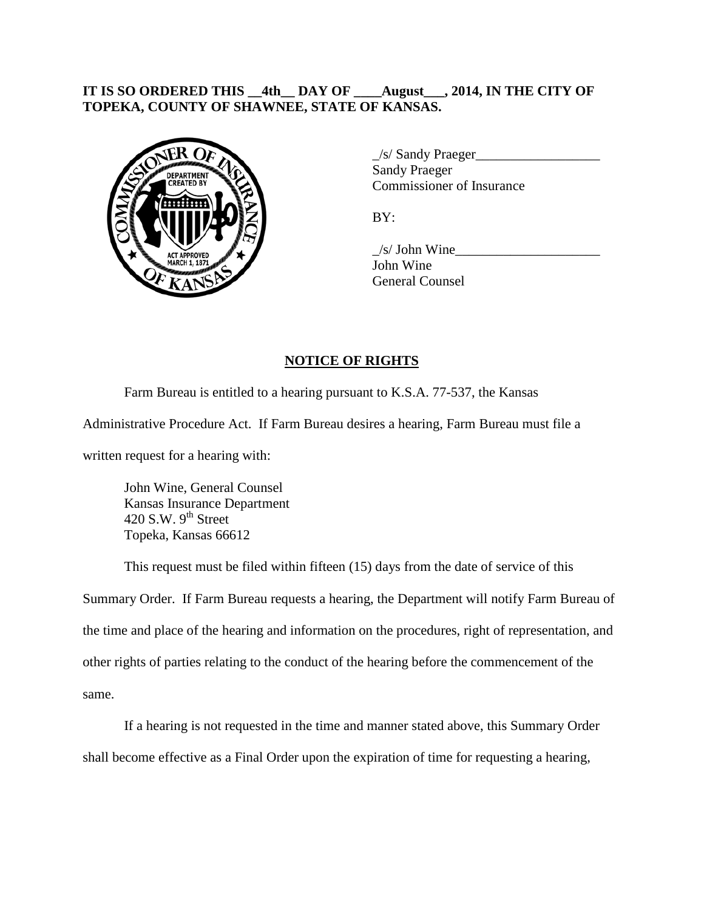# **IT IS SO ORDERED THIS \_\_4th\_\_ DAY OF \_\_\_\_August\_\_\_, 2014, IN THE CITY OF TOPEKA, COUNTY OF SHAWNEE, STATE OF KANSAS.**



\_/s/ Sandy Praeger\_\_\_\_\_\_\_\_\_\_\_\_\_\_\_\_\_\_ Sandy Praeger Commissioner of Insurance

BY:

 $\frac{1}{s}$  John Wine John Wine General Counsel

# **NOTICE OF RIGHTS**

Farm Bureau is entitled to a hearing pursuant to K.S.A. 77-537, the Kansas

Administrative Procedure Act. If Farm Bureau desires a hearing, Farm Bureau must file a

written request for a hearing with:

John Wine, General Counsel Kansas Insurance Department 420 S.W.  $9<sup>th</sup>$  Street Topeka, Kansas 66612

This request must be filed within fifteen (15) days from the date of service of this

Summary Order. If Farm Bureau requests a hearing, the Department will notify Farm Bureau of the time and place of the hearing and information on the procedures, right of representation, and other rights of parties relating to the conduct of the hearing before the commencement of the same.

If a hearing is not requested in the time and manner stated above, this Summary Order shall become effective as a Final Order upon the expiration of time for requesting a hearing,